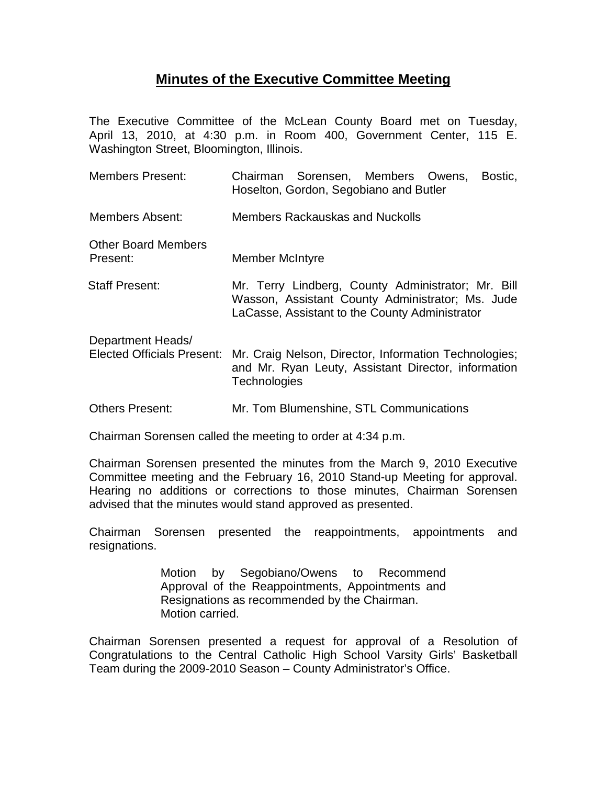## **Minutes of the Executive Committee Meeting**

The Executive Committee of the McLean County Board met on Tuesday, April 13, 2010, at 4:30 p.m. in Room 400, Government Center, 115 E. Washington Street, Bloomington, Illinois.

| <b>Members Present:</b>                                | Chairman Sorensen, Members Owens,<br>Bostic,<br>Hoselton, Gordon, Segobiano and Butler                                                                   |
|--------------------------------------------------------|----------------------------------------------------------------------------------------------------------------------------------------------------------|
| Members Absent:                                        | <b>Members Rackauskas and Nuckolls</b>                                                                                                                   |
| <b>Other Board Members</b><br>Present:                 | <b>Member McIntyre</b>                                                                                                                                   |
| <b>Staff Present:</b>                                  | Mr. Terry Lindberg, County Administrator; Mr. Bill<br>Wasson, Assistant County Administrator; Ms. Jude<br>LaCasse, Assistant to the County Administrator |
| Department Heads/<br><b>Elected Officials Present:</b> | Mr. Craig Nelson, Director, Information Technologies;<br>and Mr. Ryan Leuty, Assistant Director, information<br><b>Technologies</b>                      |
| <b>Others Present:</b>                                 | Mr. Tom Blumenshine, STL Communications                                                                                                                  |

Chairman Sorensen called the meeting to order at 4:34 p.m.

Chairman Sorensen presented the minutes from the March 9, 2010 Executive Committee meeting and the February 16, 2010 Stand-up Meeting for approval. Hearing no additions or corrections to those minutes, Chairman Sorensen advised that the minutes would stand approved as presented.

Chairman Sorensen presented the reappointments, appointments and resignations.

> Motion by Segobiano/Owens to Recommend Approval of the Reappointments, Appointments and Resignations as recommended by the Chairman. Motion carried.

Chairman Sorensen presented a request for approval of a Resolution of Congratulations to the Central Catholic High School Varsity Girls' Basketball Team during the 2009-2010 Season – County Administrator's Office.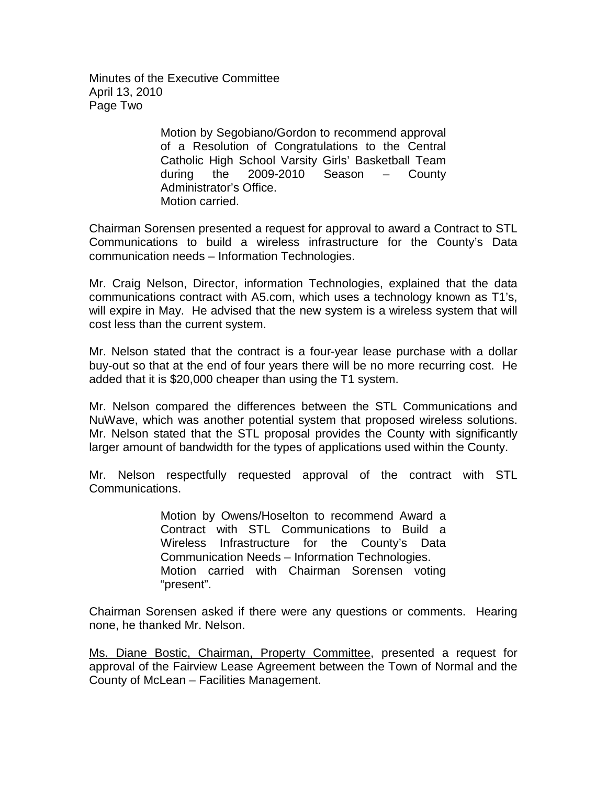Minutes of the Executive Committee April 13, 2010 Page Two

> Motion by Segobiano/Gordon to recommend approval of a Resolution of Congratulations to the Central Catholic High School Varsity Girls' Basketball Team during the 2009-2010 Season – County Administrator's Office. Motion carried.

Chairman Sorensen presented a request for approval to award a Contract to STL Communications to build a wireless infrastructure for the County's Data communication needs – Information Technologies.

Mr. Craig Nelson, Director, information Technologies, explained that the data communications contract with A5.com, which uses a technology known as T1's, will expire in May. He advised that the new system is a wireless system that will cost less than the current system.

Mr. Nelson stated that the contract is a four-year lease purchase with a dollar buy-out so that at the end of four years there will be no more recurring cost. He added that it is \$20,000 cheaper than using the T1 system.

Mr. Nelson compared the differences between the STL Communications and NuWave, which was another potential system that proposed wireless solutions. Mr. Nelson stated that the STL proposal provides the County with significantly larger amount of bandwidth for the types of applications used within the County.

Mr. Nelson respectfully requested approval of the contract with STL Communications.

> Motion by Owens/Hoselton to recommend Award a Contract with STL Communications to Build a Wireless Infrastructure for the County's Data Communication Needs – Information Technologies. Motion carried with Chairman Sorensen voting "present".

Chairman Sorensen asked if there were any questions or comments. Hearing none, he thanked Mr. Nelson.

Ms. Diane Bostic, Chairman, Property Committee, presented a request for approval of the Fairview Lease Agreement between the Town of Normal and the County of McLean – Facilities Management.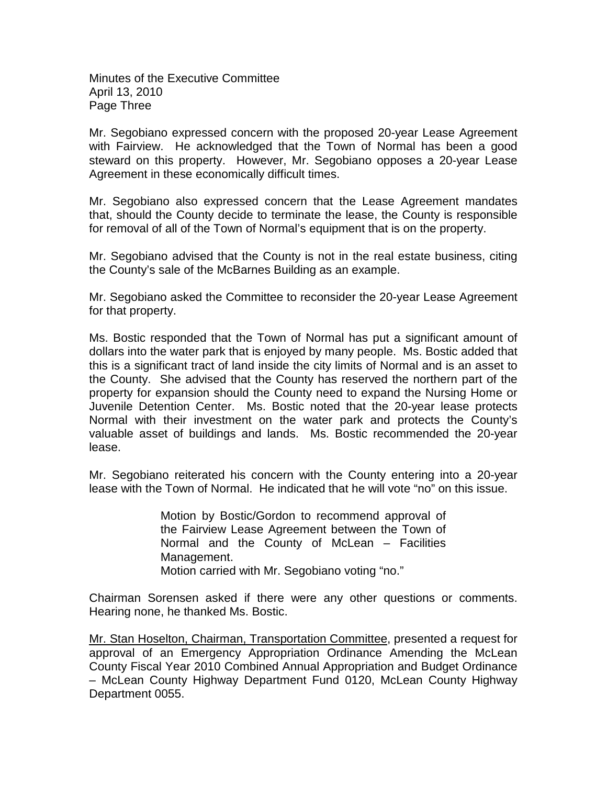Minutes of the Executive Committee April 13, 2010 Page Three

Mr. Segobiano expressed concern with the proposed 20-year Lease Agreement with Fairview. He acknowledged that the Town of Normal has been a good steward on this property. However, Mr. Segobiano opposes a 20-year Lease Agreement in these economically difficult times.

Mr. Segobiano also expressed concern that the Lease Agreement mandates that, should the County decide to terminate the lease, the County is responsible for removal of all of the Town of Normal's equipment that is on the property.

Mr. Segobiano advised that the County is not in the real estate business, citing the County's sale of the McBarnes Building as an example.

Mr. Segobiano asked the Committee to reconsider the 20-year Lease Agreement for that property.

Ms. Bostic responded that the Town of Normal has put a significant amount of dollars into the water park that is enjoyed by many people. Ms. Bostic added that this is a significant tract of land inside the city limits of Normal and is an asset to the County. She advised that the County has reserved the northern part of the property for expansion should the County need to expand the Nursing Home or Juvenile Detention Center. Ms. Bostic noted that the 20-year lease protects Normal with their investment on the water park and protects the County's valuable asset of buildings and lands. Ms. Bostic recommended the 20-year lease.

Mr. Segobiano reiterated his concern with the County entering into a 20-year lease with the Town of Normal. He indicated that he will vote "no" on this issue.

> Motion by Bostic/Gordon to recommend approval of the Fairview Lease Agreement between the Town of Normal and the County of McLean – Facilities Management. Motion carried with Mr. Segobiano voting "no."

Chairman Sorensen asked if there were any other questions or comments. Hearing none, he thanked Ms. Bostic.

Mr. Stan Hoselton, Chairman, Transportation Committee, presented a request for approval of an Emergency Appropriation Ordinance Amending the McLean County Fiscal Year 2010 Combined Annual Appropriation and Budget Ordinance – McLean County Highway Department Fund 0120, McLean County Highway Department 0055.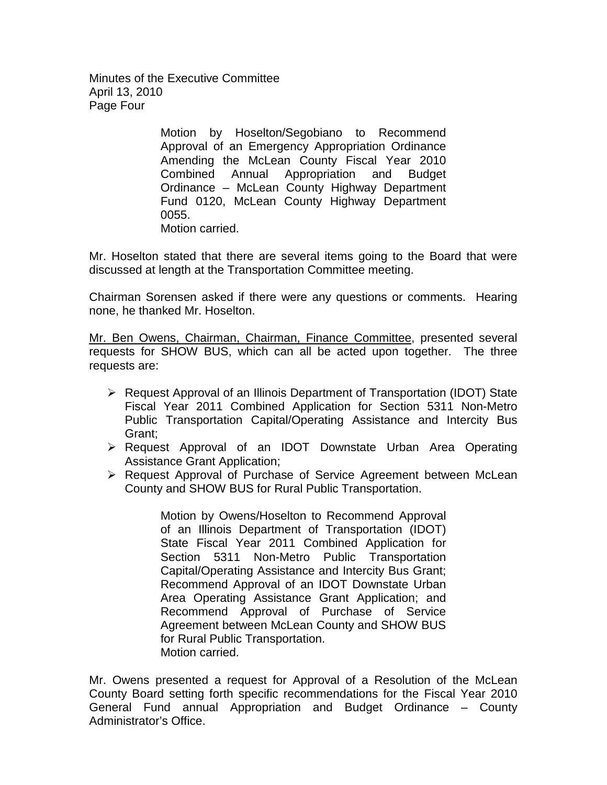Minutes of the Executive Committee April 13, 2010 Page Four

> Motion by Hoselton/Segobiano to Recommend Approval of an Emergency Appropriation Ordinance Amending the McLean County Fiscal Year 2010 Combined Annual Appropriation and Budget Ordinance – McLean County Highway Department Fund 0120, McLean County Highway Department 0055. Motion carried.

Mr. Hoselton stated that there are several items going to the Board that were discussed at length at the Transportation Committee meeting.

Chairman Sorensen asked if there were any questions or comments. Hearing none, he thanked Mr. Hoselton.

Mr. Ben Owens, Chairman, Chairman, Finance Committee, presented several requests for SHOW BUS, which can all be acted upon together. The three requests are:

- ▶ Request Approval of an Illinois Department of Transportation (IDOT) State Fiscal Year 2011 Combined Application for Section 5311 Non-Metro Public Transportation Capital/Operating Assistance and Intercity Bus Grant;
- Request Approval of an IDOT Downstate Urban Area Operating Assistance Grant Application;
- Request Approval of Purchase of Service Agreement between McLean County and SHOW BUS for Rural Public Transportation.

Motion by Owens/Hoselton to Recommend Approval of an Illinois Department of Transportation (IDOT) State Fiscal Year 2011 Combined Application for Section 5311 Non-Metro Public Transportation Capital/Operating Assistance and Intercity Bus Grant; Recommend Approval of an IDOT Downstate Urban Area Operating Assistance Grant Application; and Recommend Approval of Purchase of Service Agreement between McLean County and SHOW BUS for Rural Public Transportation. Motion carried.

Mr. Owens presented a request for Approval of a Resolution of the McLean County Board setting forth specific recommendations for the Fiscal Year 2010 General Fund annual Appropriation and Budget Ordinance – County Administrator's Office.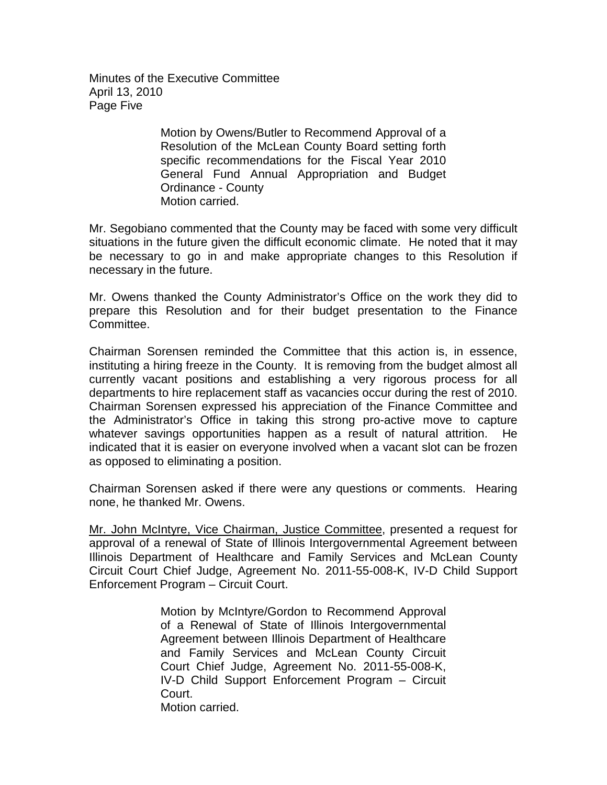Minutes of the Executive Committee April 13, 2010 Page Five

> Motion by Owens/Butler to Recommend Approval of a Resolution of the McLean County Board setting forth specific recommendations for the Fiscal Year 2010 General Fund Annual Appropriation and Budget Ordinance - County Motion carried.

Mr. Segobiano commented that the County may be faced with some very difficult situations in the future given the difficult economic climate. He noted that it may be necessary to go in and make appropriate changes to this Resolution if necessary in the future.

Mr. Owens thanked the County Administrator's Office on the work they did to prepare this Resolution and for their budget presentation to the Finance Committee.

Chairman Sorensen reminded the Committee that this action is, in essence, instituting a hiring freeze in the County. It is removing from the budget almost all currently vacant positions and establishing a very rigorous process for all departments to hire replacement staff as vacancies occur during the rest of 2010. Chairman Sorensen expressed his appreciation of the Finance Committee and the Administrator's Office in taking this strong pro-active move to capture whatever savings opportunities happen as a result of natural attrition. He indicated that it is easier on everyone involved when a vacant slot can be frozen as opposed to eliminating a position.

Chairman Sorensen asked if there were any questions or comments. Hearing none, he thanked Mr. Owens.

Mr. John McIntyre, Vice Chairman, Justice Committee, presented a request for approval of a renewal of State of Illinois Intergovernmental Agreement between Illinois Department of Healthcare and Family Services and McLean County Circuit Court Chief Judge, Agreement No. 2011-55-008-K, IV-D Child Support Enforcement Program – Circuit Court.

> Motion by McIntyre/Gordon to Recommend Approval of a Renewal of State of Illinois Intergovernmental Agreement between Illinois Department of Healthcare and Family Services and McLean County Circuit Court Chief Judge, Agreement No. 2011-55-008-K, IV-D Child Support Enforcement Program – Circuit Court. Motion carried.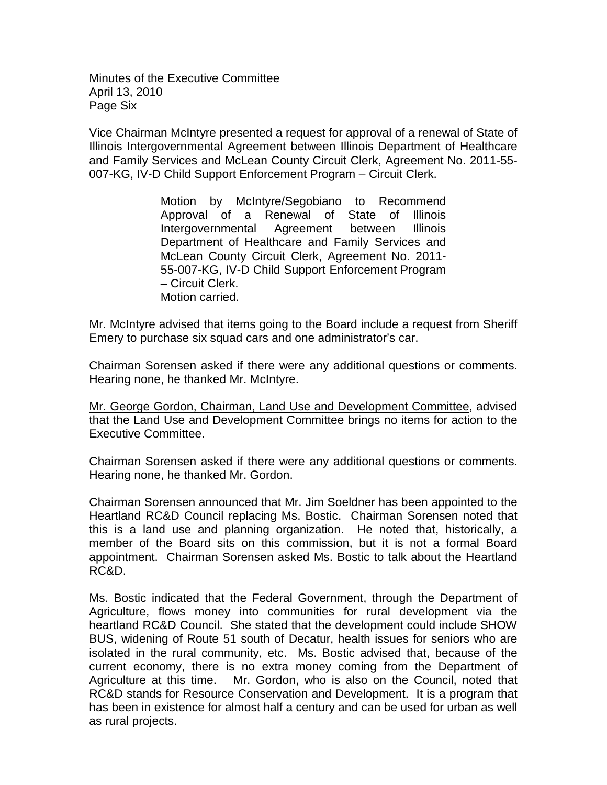Minutes of the Executive Committee April 13, 2010 Page Six

Vice Chairman McIntyre presented a request for approval of a renewal of State of Illinois Intergovernmental Agreement between Illinois Department of Healthcare and Family Services and McLean County Circuit Clerk, Agreement No. 2011-55- 007-KG, IV-D Child Support Enforcement Program – Circuit Clerk.

> Motion by McIntyre/Segobiano to Recommend Approval of a Renewal of State of Illinois Intergovernmental Agreement between Illinois Department of Healthcare and Family Services and McLean County Circuit Clerk, Agreement No. 2011- 55-007-KG, IV-D Child Support Enforcement Program – Circuit Clerk. Motion carried.

Mr. McIntyre advised that items going to the Board include a request from Sheriff Emery to purchase six squad cars and one administrator's car.

Chairman Sorensen asked if there were any additional questions or comments. Hearing none, he thanked Mr. McIntyre.

Mr. George Gordon, Chairman, Land Use and Development Committee, advised that the Land Use and Development Committee brings no items for action to the Executive Committee.

Chairman Sorensen asked if there were any additional questions or comments. Hearing none, he thanked Mr. Gordon.

Chairman Sorensen announced that Mr. Jim Soeldner has been appointed to the Heartland RC&D Council replacing Ms. Bostic. Chairman Sorensen noted that this is a land use and planning organization. He noted that, historically, a member of the Board sits on this commission, but it is not a formal Board appointment. Chairman Sorensen asked Ms. Bostic to talk about the Heartland RC&D.

Ms. Bostic indicated that the Federal Government, through the Department of Agriculture, flows money into communities for rural development via the heartland RC&D Council. She stated that the development could include SHOW BUS, widening of Route 51 south of Decatur, health issues for seniors who are isolated in the rural community, etc. Ms. Bostic advised that, because of the current economy, there is no extra money coming from the Department of Agriculture at this time. Mr. Gordon, who is also on the Council, noted that RC&D stands for Resource Conservation and Development. It is a program that has been in existence for almost half a century and can be used for urban as well as rural projects.